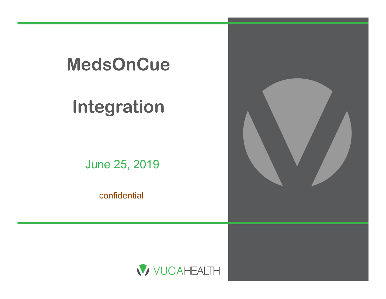

# **Integration**

June 25, 201 9

confidential



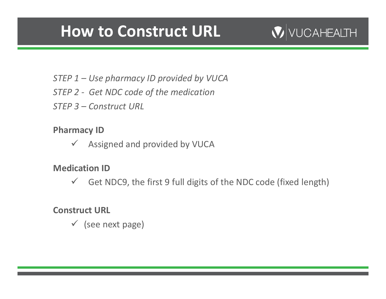## **How to Construct URL**

## VUCAHEALTH

- *STEP 1 – Use pharmacy ID provided by VUCA*
- *STEP 2 ‐ Get NDC code of the medication*
- *STEP 3 – Construct URL*

**Pharmacy ID**

 $\checkmark$ Assigned and provided by VUCA

#### **Medication ID**

 $\checkmark$ Get NDC9, the first 9 full digits of the NDC code (fixed length)

#### **Construct URL**

(see next page)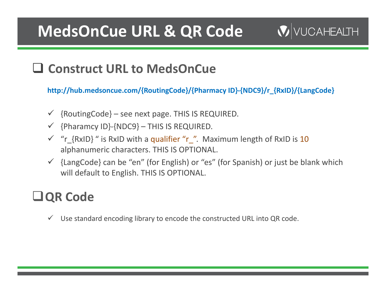## **MedsOnCue URL & QR Code**

### **V** VUCAHEALTH

## **Construct URL to MedsOnCue**

**http://hub.medsoncue.com/{RoutingCode}/{Pharmacy ID}‐{NDC9}/r\_{RxID}/{LangCode}**

- $\checkmark$  {RoutingCode} see next page. THIS IS REQUIRED.
- {Pharamcy ID}‐{NDC9} THIS IS REQUIRED.
- $\checkmark$  "r<sub>\_</sub>{RxID}" is RxID with a qualifier "r\_". Maximum length of RxID is 10 alphanumeric characters. THIS IS OPTIONAL.
- $\checkmark$  {LangCode} can be "en" (for English) or "es" (for Spanish) or just be blank which will default to English. THIS IS OPTIONAL.

## **QR Code**

 $\checkmark$  Use standard encoding library to encode the constructed URL into QR code.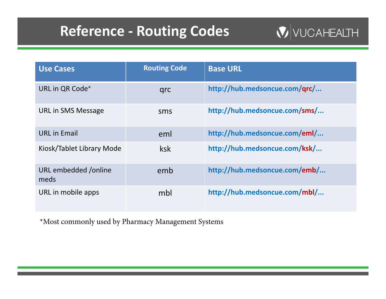## **Reference ‐ Routing Codes**

 $\mathbf{V}$  VUCAHEALTH

| <b>Use Cases</b>             | <b>Routing Code</b> | <b>Base URL</b>               |
|------------------------------|---------------------|-------------------------------|
| URL in QR Code*              | qrc                 | http://hub.medsoncue.com/qrc/ |
| <b>URL in SMS Message</b>    | sms                 | http://hub.medsoncue.com/sms/ |
| <b>URL</b> in Email          | eml                 | http://hub.medsoncue.com/eml/ |
| Kiosk/Tablet Library Mode    | ksk                 | http://hub.medsoncue.com/ksk/ |
| URL embedded /online<br>meds | emb                 | http://hub.medsoncue.com/emb/ |
| URL in mobile apps           | mbl                 | http://hub.medsoncue.com/mbl/ |

\*Most commonly used by Pharmacy Management Systems